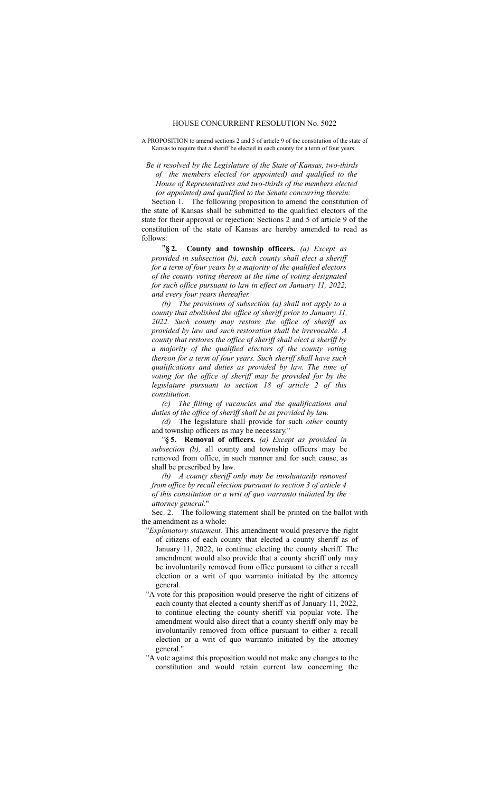## HOUSE CONCURRENT RESOLUTION No. 5022

A PROPOSITION to amend sections 2 and 5 of article 9 of the constitution of the state of Kansas to require that a sheriff be elected in each county for a term of four years.

*Be it resolved by the Legislature of the State of Kansas, two-thirds of the members elected (or appointed) and qualified to the House of Representatives and two-thirds of the members elected (or appointed) and qualified to the Senate concurring therein:*

Section 1. The following proposition to amend the constitution of the state of Kansas shall be submitted to the qualified electors of the state for their approval or rejection: Sections 2 and 5 of article 9 of the constitution of the state of Kansas are hereby amended to read as follows:

"**§ 2. County and township officers.** *(a) Except as provided in subsection (b), each county shall elect a sheriff for a term of four years by a majority of the qualified electors of the county voting thereon at the time of voting designated for such office pursuant to law in effect on January 11, 2022, and every four years thereafter.*

*(b) The provisions of subsection (a) shall not apply to a county that abolished the office of sheriff prior to January 11, 2022. Such county may restore the office of sheriff as provided by law and such restoration shall be irrevocable. A county that restores the office of sheriff shall elect a sheriff by a majority of the qualified electors of the county voting thereon for a term of four years. Such sheriff shall have such qualifications and duties as provided by law. The time of voting for the office of sheriff may be provided for by the legislature pursuant to section 18 of article 2 of this constitution.*

*(c) The filling of vacancies and the qualifications and duties of the office of sheriff shall be as provided by law.*

*(d)* The legislature shall provide for such *other* county and township officers as may be necessary."

"**§ 5. Removal of officers.** *(a) Except as provided in subsection (b),* all county and township officers may be removed from office, in such manner and for such cause, as shall be prescribed by law.

*(b) A county sheriff only may be involuntarily removed from office by recall election pursuant to section 3 of article 4 of this constitution or a writ of quo warranto initiated by the attorney general.*"

Sec. 2. The following statement shall be printed on the ballot with the amendment as a whole:

- "*Explanatory statement.* This amendment would preserve the right of citizens of each county that elected a county sheriff as of January 11, 2022, to continue electing the county sheriff. The amendment would also provide that a county sheriff only may be involuntarily removed from office pursuant to either a recall election or a writ of quo warranto initiated by the attorney general.
- "A vote for this proposition would preserve the right of citizens of each county that elected a county sheriff as of January 11, 2022, to continue electing the county sheriff via popular vote. The amendment would also direct that a county sheriff only may be involuntarily removed from office pursuant to either a recall election or a writ of quo warranto initiated by the attorney general."
- "A vote against this proposition would not make any changes to the constitution and would retain current law concerning the